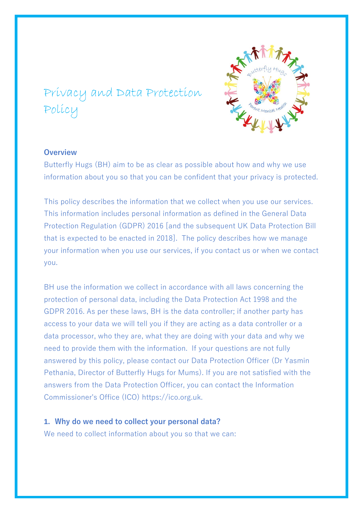# Privacy and Data Protection Policy

# **Overview**

Butterfly Hugs (BH) aim to be as clear as possible about how and why we use information about you so that you can be confident that your privacy is protected.

This policy describes the information that we collect when you use our services. This information includes personal information as defined in the General Data Protection Regulation (GDPR) 2016 [and the subsequent UK Data Protection Bill that is expected to be enacted in 2018]. The policy describes how we manage your information when you use our services, if you contact us or when we contact you.

BH use the information we collect in accordance with all laws concerning the protection of personal data, including the Data Protection Act 1998 and the GDPR 2016. As per these laws, BH is the data controller; if another party has access to your data we will tell you if they are acting as a data controller or a data processor, who they are, what they are doing with your data and why we need to provide them with the information. If your questions are not fully answered by this policy, please contact our Data Protection Officer (Dr Yasmin Pethania, Director of Butterfly Hugs for Mums). If you are not satisfied with the answers from the Data Protection Officer, you can contact the Information Commissioner's Office (ICO) https://ico.org.uk.

# **1. Why do we need to collect your personal data?**

We need to collect information about you so that we can: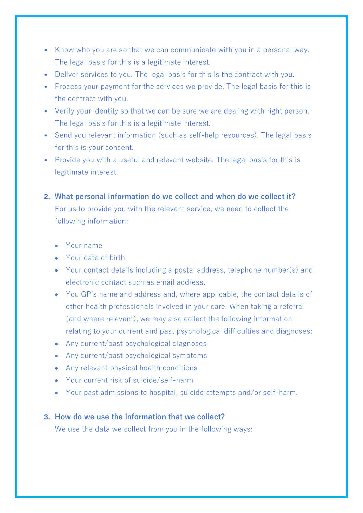- Know who you are so that we can communicate with you in a personal way. The legal basis for this is a legitimate interest.
- Deliver services to you. The legal basis for this is the contract with you.
- Process your payment for the services we provide. The legal basis for this is the contract with you.
- Verify your identity so that we can be sure we are dealing with right person. The legal basis for this is a legitimate interest.
- Send you relevant information (such as self-help resources). The legal basis for this is your consent.
- Provide you with a useful and relevant website. The legal basis for this is legitimate interest.
- **2. What personal information do we collect and when do we collect it?** For us to provide you with the relevant service, we need to collect the following information:
	- Your name
	- Your date of birth
	- Your contact details including a postal address, telephone number(s) and electronic contact such as email address.
	- You GP's name and address and, where applicable, the contact details of other health professionals involved in your care. When taking a referral (and where relevant), we may also collect the following information relating to your current and past psychological difficulties and diagnoses:
	- Any current/past psychological diagnoses
	- Any current/past psychological symptoms
	- Any relevant physical health conditions
	- Your current risk of suicide/self-harm
	- Your past admissions to hospital, suicide attempts and/or self-harm.

# **3. How do we use the information that we collect?**

We use the data we collect from you in the following ways: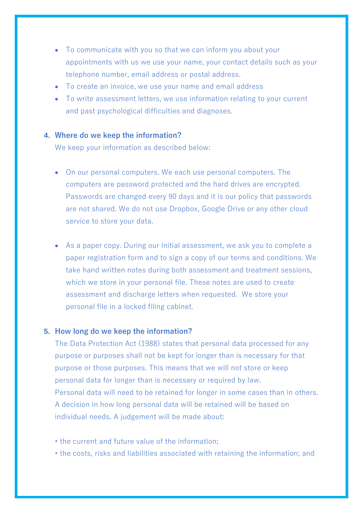- To communicate with you so that we can inform you about your appointments with us we use your name, your contact details such as your telephone number, email address or postal address.
- To create an invoice, we use your name and email address
- To write assessment letters, we use information relating to your current and past psychological difficulties and diagnoses.

# **4. Where do we keep the information?**

We keep your information as described below:

- On our personal computers. We each use personal computers. The computers are password protected and the hard drives are encrypted. Passwords are changed every 90 days and it is our policy that passwords are not shared. We do not use Dropbox, Google Drive or any other cloud service to store your data.
- As a paper copy. During our initial assessment, we ask you to complete a paper registration form and to sign a copy of our terms and conditions. We take hand written notes during both assessment and treatment sessions, which we store in your personal file. These notes are used to create assessment and discharge letters when requested. We store your personal file in a locked filing cabinet.

# **5. How long do we keep the information?**

The Data Protection Act (1988) states that personal data processed for any purpose or purposes shall not be kept for longer than is necessary for that purpose or those purposes. This means that we will not store or keep personal data for longer than is necessary or required by law. Personal data will need to be retained for longer in some cases than in others. A decision in how long personal data will be retained will be based on individual needs. A judgement will be made about:

- the current and future value of the information;
- the costs, risks and liabilities associated with retaining the information; and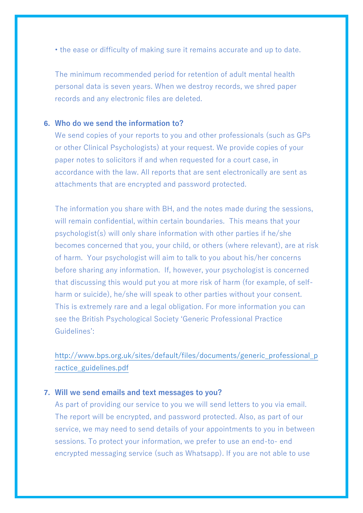• the ease or difficulty of making sure it remains accurate and up to date.

The minimum recommended period for retention of adult mental health personal data is seven years. When we destroy records, we shred paper records and any electronic files are deleted.

# **6. Who do we send the information to?**

We send copies of your reports to you and other professionals (such as GPs or other Clinical Psychologists) at your request. We provide copies of your paper notes to solicitors if and when requested for a court case, in accordance with the law. All reports that are sent electronically are sent as attachments that are encrypted and password protected.

The information you share with BH, and the notes made during the sessions, will remain confidential, within certain boundaries. This means that your psychologist(s) will only share information with other parties if he/she becomes concerned that you, your child, or others (where relevant), are at risk of harm. Your psychologist will aim to talk to you about his/her concerns before sharing any information. If, however, your psychologist is concerned that discussing this would put you at more risk of harm (for example, of selfharm or suicide), he/she will speak to other parties without your consent. This is extremely rare and a legal obligation. For more information you can see the British Psychological Society 'Generic Professional Practice Guidelines':

[http://www.bps.org.uk/sites/default/files/documents/generic\\_professional\\_p](http://www.bps.org.uk/sites/default/files/documents/generic_professional_practice_guidelines.pdf) [ractice\\_guidelines.pdf](http://www.bps.org.uk/sites/default/files/documents/generic_professional_practice_guidelines.pdf)

# **7. Will we send emails and text messages to you?**

As part of providing our service to you we will send letters to you via email. The report will be encrypted, and password protected. Also, as part of our service, we may need to send details of your appointments to you in between sessions. To protect your information, we prefer to use an end-to- end encrypted messaging service (such as Whatsapp). If you are not able to use